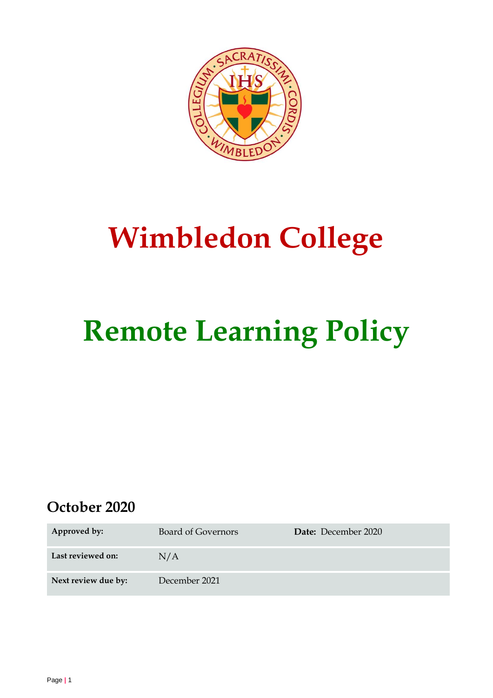

## **Wimbledon College**

# **Remote Learning Policy**

## **October 2020**

| Approved by:        | <b>Board of Governors</b> | Date: December 2020 |
|---------------------|---------------------------|---------------------|
| Last reviewed on:   | N/A                       |                     |
| Next review due by: | December 2021             |                     |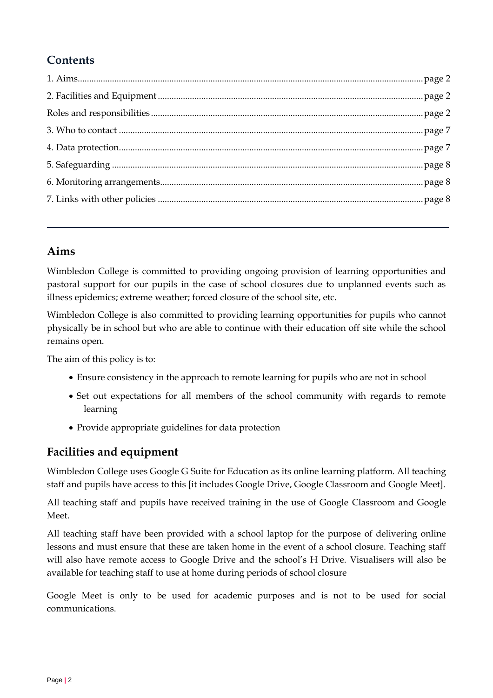## **Contents**

## <span id="page-1-0"></span>**Aims**

Wimbledon College is committed to providing ongoing provision of learning opportunities and pastoral support for our pupils in the case of school closures due to unplanned events such as illness epidemics; extreme weather; forced closure of the school site, etc.

Wimbledon College is also committed to providing learning opportunities for pupils who cannot physically be in school but who are able to continue with their education off site while the school remains open.

The aim of this policy is to:

- Ensure consistency in the approach to remote learning for pupils who are not in school
- Set out expectations for all members of the school community with regards to remote learning
- Provide appropriate guidelines for data protection

## <span id="page-1-1"></span>**Facilities and equipment**

Wimbledon College uses Google G Suite for Education as its online learning platform. All teaching staff and pupils have access to this [it includes Google Drive, Google Classroom and Google Meet].

All teaching staff and pupils have received training in the use of Google Classroom and Google Meet.

All teaching staff have been provided with a school laptop for the purpose of delivering online lessons and must ensure that these are taken home in the event of a school closure. Teaching staff will also have remote access to Google Drive and the school's H Drive. Visualisers will also be available for teaching staff to use at home during periods of school closure

Google Meet is only to be used for academic purposes and is not to be used for social communications.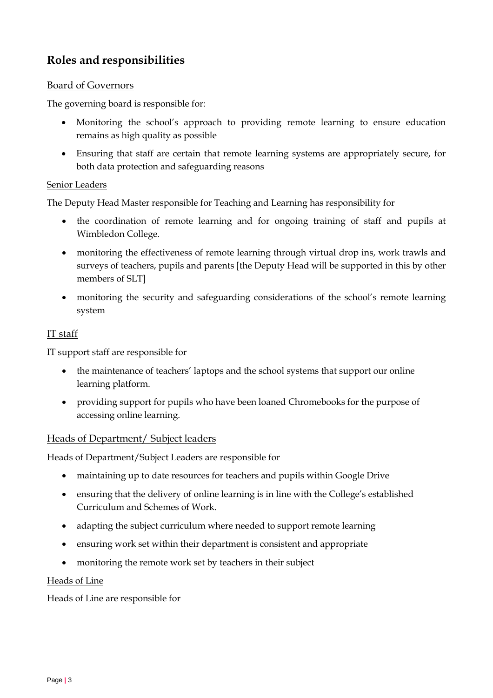## **Roles and responsibilities**

#### Board of Governors

The governing board is responsible for:

- Monitoring the school's approach to providing remote learning to ensure education remains as high quality as possible
- Ensuring that staff are certain that remote learning systems are appropriately secure, for both data protection and safeguarding reasons

#### Senior Leaders

The Deputy Head Master responsible for Teaching and Learning has responsibility for

- the coordination of remote learning and for ongoing training of staff and pupils at Wimbledon College.
- monitoring the effectiveness of remote learning through virtual drop ins, work trawls and surveys of teachers, pupils and parents [the Deputy Head will be supported in this by other members of SLT]
- monitoring the security and safeguarding considerations of the school's remote learning system

#### IT staff

IT support staff are responsible for

- the maintenance of teachers' laptops and the school systems that support our online learning platform.
- providing support for pupils who have been loaned Chromebooks for the purpose of accessing online learning.

#### Heads of Department/ Subject leaders

Heads of Department/Subject Leaders are responsible for

- maintaining up to date resources for teachers and pupils within Google Drive
- ensuring that the delivery of online learning is in line with the College's established Curriculum and Schemes of Work.
- adapting the subject curriculum where needed to support remote learning
- ensuring work set within their department is consistent and appropriate
- monitoring the remote work set by teachers in their subject

#### Heads of Line

Heads of Line are responsible for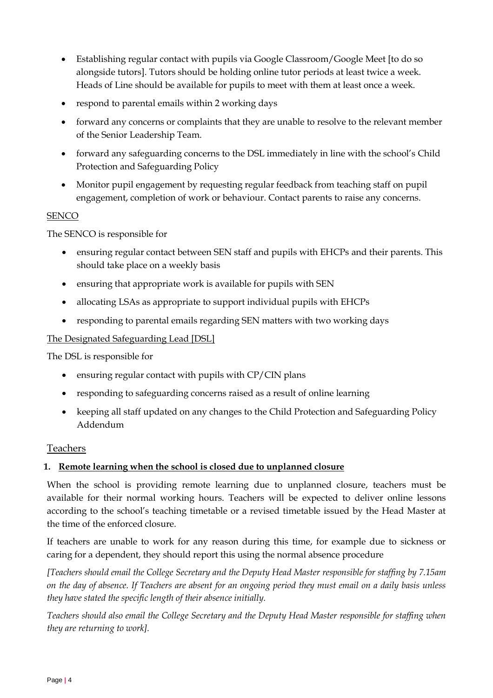- Establishing regular contact with pupils via Google Classroom/Google Meet [to do so alongside tutors]. Tutors should be holding online tutor periods at least twice a week. Heads of Line should be available for pupils to meet with them at least once a week.
- respond to parental emails within 2 working days
- forward any concerns or complaints that they are unable to resolve to the relevant member of the Senior Leadership Team.
- forward any safeguarding concerns to the DSL immediately in line with the school's Child Protection and Safeguarding Policy
- Monitor pupil engagement by requesting regular feedback from teaching staff on pupil engagement, completion of work or behaviour. Contact parents to raise any concerns.

#### **SENCO**

The SENCO is responsible for

- ensuring regular contact between SEN staff and pupils with EHCPs and their parents. This should take place on a weekly basis
- ensuring that appropriate work is available for pupils with SEN
- allocating LSAs as appropriate to support individual pupils with EHCPs
- responding to parental emails regarding SEN matters with two working days

#### The Designated Safeguarding Lead [DSL]

The DSL is responsible for

- ensuring regular contact with pupils with CP/CIN plans
- responding to safeguarding concerns raised as a result of online learning
- keeping all staff updated on any changes to the Child Protection and Safeguarding Policy Addendum

#### **Teachers**

#### **1. Remote learning when the school is closed due to unplanned closure**

When the school is providing remote learning due to unplanned closure, teachers must be available for their normal working hours. Teachers will be expected to deliver online lessons according to the school's teaching timetable or a revised timetable issued by the Head Master at the time of the enforced closure.

If teachers are unable to work for any reason during this time, for example due to sickness or caring for a dependent, they should report this using the normal absence procedure

*[Teachers should email the College Secretary and the Deputy Head Master responsible for staffing by 7.15am on the day of absence. If Teachers are absent for an ongoing period they must email on a daily basis unless they have stated the specific length of their absence initially.* 

*Teachers should also email the College Secretary and the Deputy Head Master responsible for staffing when they are returning to work].*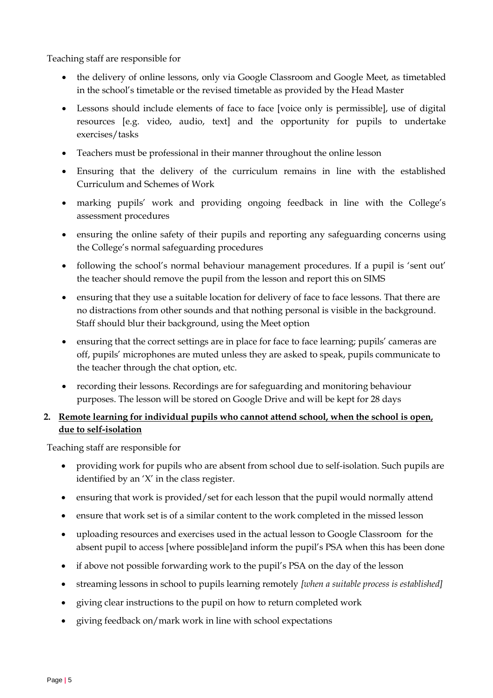Teaching staff are responsible for

- the delivery of online lessons, only via Google Classroom and Google Meet, as timetabled in the school's timetable or the revised timetable as provided by the Head Master
- Lessons should include elements of face to face [voice only is permissible], use of digital resources [e.g. video, audio, text] and the opportunity for pupils to undertake exercises/tasks
- Teachers must be professional in their manner throughout the online lesson
- Ensuring that the delivery of the curriculum remains in line with the established Curriculum and Schemes of Work
- marking pupils' work and providing ongoing feedback in line with the College's assessment procedures
- ensuring the online safety of their pupils and reporting any safeguarding concerns using the College's normal safeguarding procedures
- following the school's normal behaviour management procedures. If a pupil is 'sent out' the teacher should remove the pupil from the lesson and report this on SIMS
- ensuring that they use a suitable location for delivery of face to face lessons. That there are no distractions from other sounds and that nothing personal is visible in the background. Staff should blur their background, using the Meet option
- ensuring that the correct settings are in place for face to face learning; pupils' cameras are off, pupils' microphones are muted unless they are asked to speak, pupils communicate to the teacher through the chat option, etc.
- recording their lessons. Recordings are for safeguarding and monitoring behaviour purposes. The lesson will be stored on Google Drive and will be kept for 28 days

#### **2. Remote learning for individual pupils who cannot attend school, when the school is open, due to self-isolation**

Teaching staff are responsible for

- providing work for pupils who are absent from school due to self-isolation. Such pupils are identified by an 'X' in the class register.
- ensuring that work is provided/set for each lesson that the pupil would normally attend
- ensure that work set is of a similar content to the work completed in the missed lesson
- uploading resources and exercises used in the actual lesson to Google Classroom for the absent pupil to access [where possible]and inform the pupil's PSA when this has been done
- if above not possible forwarding work to the pupil's PSA on the day of the lesson
- streaming lessons in school to pupils learning remotely *[when a suitable process is established]*
- giving clear instructions to the pupil on how to return completed work
- giving feedback on/mark work in line with school expectations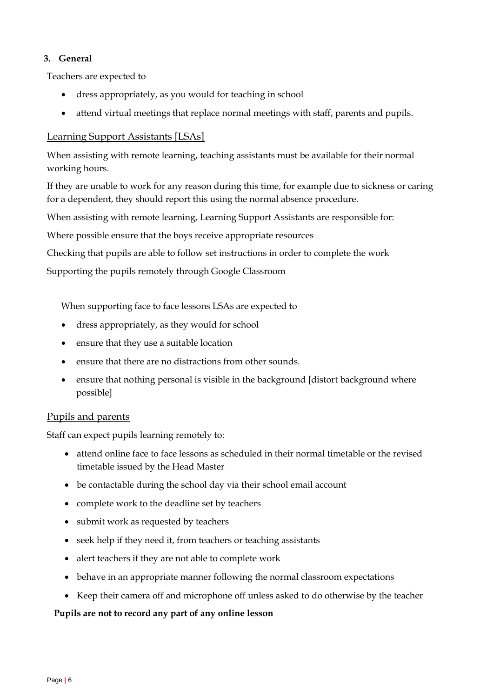#### **3. General**

Teachers are expected to

- dress appropriately, as you would for teaching in school
- attend virtual meetings that replace normal meetings with staff, parents and pupils.

#### Learning Support Assistants [LSAs]

When assisting with remote learning, teaching assistants must be available for their normal working hours.

If they are unable to work for any reason during this time, for example due to sickness or caring for a dependent, they should report this using the normal absence procedure.

When assisting with remote learning, Learning Support Assistants are responsible for:

Where possible ensure that the boys receive appropriate resources

Checking that pupils are able to follow set instructions in order to complete the work

Supporting the pupils remotely through Google Classroom

When supporting face to face lessons LSAs are expected to

- dress appropriately, as they would for school
- ensure that they use a suitable location
- ensure that there are no distractions from other sounds.
- ensure that nothing personal is visible in the background [distort background where possible]

#### Pupils and parents

Staff can expect pupils learning remotely to:

- attend online face to face lessons as scheduled in their normal timetable or the revised timetable issued by the Head Master
- be contactable during the school day via their school email account
- complete work to the deadline set by teachers
- submit work as requested by teachers
- seek help if they need it, from teachers or teaching assistants
- alert teachers if they are not able to complete work
- behave in an appropriate manner following the normal classroom expectations
- Keep their camera off and microphone off unless asked to do otherwise by the teacher

#### **Pupils are not to record any part of any online lesson**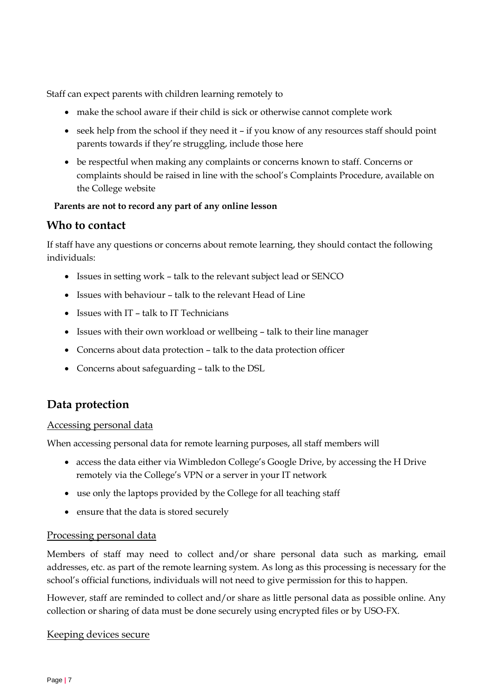Staff can expect parents with children learning remotely to

- make the school aware if their child is sick or otherwise cannot complete work
- seek help from the school if they need it if you know of any resources staff should point parents towards if they're struggling, include those here
- be respectful when making any complaints or concerns known to staff. Concerns or complaints should be raised in line with the school's Complaints Procedure, available on the College website

#### **Parents are not to record any part of any online lesson**

#### <span id="page-6-0"></span>**Who to contact**

If staff have any questions or concerns about remote learning, they should contact the following individuals:

- Issues in setting work talk to the relevant subject lead or SENCO
- Issues with behaviour talk to the relevant Head of Line
- Issues with IT talk to IT Technicians
- Issues with their own workload or wellbeing talk to their line manager
- Concerns about data protection talk to the data protection officer
- Concerns about safeguarding talk to the DSL

### <span id="page-6-1"></span>**Data protection**

#### Accessing personal data

When accessing personal data for remote learning purposes, all staff members will

- access the data either via Wimbledon College's Google Drive, by accessing the H Drive remotely via the College's VPN or a server in your IT network
- use only the laptops provided by the College for all teaching staff
- ensure that the data is stored securely

#### Processing personal data

Members of staff may need to collect and/or share personal data such as marking, email addresses, etc. as part of the remote learning system. As long as this processing is necessary for the school's official functions, individuals will not need to give permission for this to happen.

However, staff are reminded to collect and/or share as little personal data as possible online. Any collection or sharing of data must be done securely using encrypted files or by USO-FX.

#### Keeping devices secure